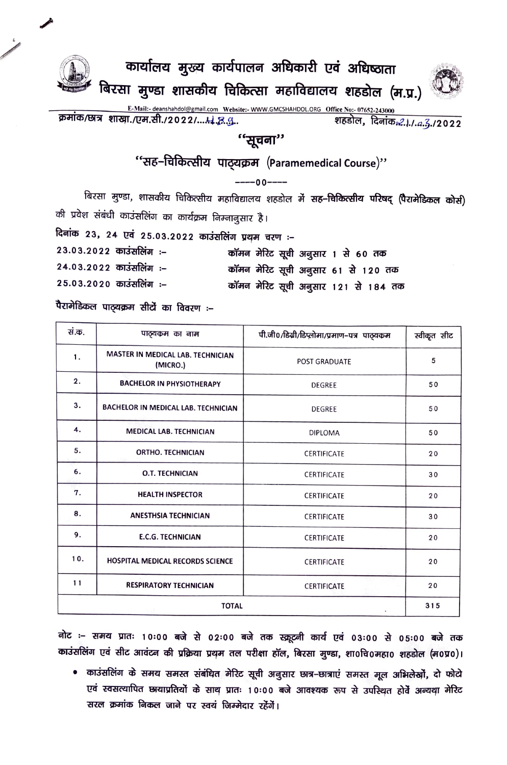

कार्यालय मुख्य कार्यपालन अधिकारी एवं अधिष्ठाता बिरसा मुण्डा शासकीय चिकित्सा महाविद्यालय शहडोल (म.प्र.)



क्रमांक/छात्र शाखा./एम.सी./2022/....4. इ....

शहडोल, दिनांक*: 1.1.a.*3./2022

## ''सूचना''

"सह-चिकित्सीय पाठ्यक्रम (Paramemedical Course)"

 $---00---$ 

बिरसा मुण्डा, शासकीय चिकित्सीय महाविद्यालय शहडोल में सह–चिकित्सीय परिषद् (पैरामेडिकल कोर्स) की प्रवेश संबंधी काउंसलिंग का कार्यक्रम निम्नानुसार है।

दिनांक 23, 24 एवं 25.03.2022 काउंसलिंग प्रथम चरण :-23.03.2022 काउंसलिंग :-

- कॉमन मेरिट सूची अनुसार 1 से 60 तक 24.03.2022 काउंसलिंग :-कॉमन मेरिट सूची अनुसार 61 से 120 तक
- 25.03.2020 काउंसलिंग :-कॉमन मेरिट सूची अनुसार 121 से 184 तक

पैरामेडिकल पाठ्यक्रम सीटों का विवरण :-

| सं.क.        | पाठ्यकम का नाम                                | पी.जी0/डिग्री/डिप्लोमा/प्रमाण-पत्र पाठ्यकम | स्वीकृत सीट |
|--------------|-----------------------------------------------|--------------------------------------------|-------------|
| 1.           | MASTER IN MEDICAL LAB. TECHNICIAN<br>(MICRO.) | <b>POST GRADUATE</b>                       | 5           |
| 2.           | <b>BACHELOR IN PHYSIOTHERAPY</b>              | <b>DEGREE</b>                              | 50          |
| 3.           | BACHELOR IN MEDICAL LAB. TECHNICIAN           | DEGREE                                     | 50          |
| 4.           | <b>MEDICAL LAB. TECHNICIAN</b>                | <b>DIPLOMA</b>                             | 50          |
| 5.           | <b>ORTHO. TECHNICIAN</b>                      | <b>CERTIFICATE</b>                         | 20          |
| 6.           | <b>O.T. TECHNICIAN</b>                        | <b>CERTIFICATE</b>                         | 30          |
| 7.           | <b>HEALTH INSPECTOR</b>                       | <b>CERTIFICATE</b>                         | 20          |
| 8.           | <b>ANESTHSIA TECHNICIAN</b>                   | <b>CERTIFICATE</b>                         | 30          |
| 9.           | <b>E.C.G. TECHNICIAN</b>                      | <b>CERTIFICATE</b>                         | 20          |
| 10.          | HOSPITAL MEDICAL RECORDS SCIENCE              | <b>CERTIFICATE</b>                         | 20          |
| 11           | <b>RESPIRATORY TECHNICIAN</b>                 | <b>CERTIFICATE</b>                         | 20          |
| <b>TOTAL</b> |                                               |                                            | 315         |

नोट :– समय प्रातः 10:00 बजे से 02:00 बजे तक स्क्रूटनी कार्य एवं 03:00 से 05:00 बजे तक काउंसलिंग एवं सीट आवंटन की प्रक्रिया प्रथम तल परीक्षा हॉल, बिरसा मुण्डा, शा0चि0महा0 शहडोल (म0प्र0)।

• काउंसलिंग के समय समस्त संबंधित मेरिट सूची अनुसार छात्र–छात्राएं समस्त मूल अभिलेखों, दो फोटो एवं स्वसत्यापित छायाप्रतियों के साथ प्रातः 10:00 बजे आवश्यक रूप से उपस्थित होवें अन्यथा मेरिट सरल क्रमांक निकल जाने पर स्वयं जिम्मेदार रहेंगें।